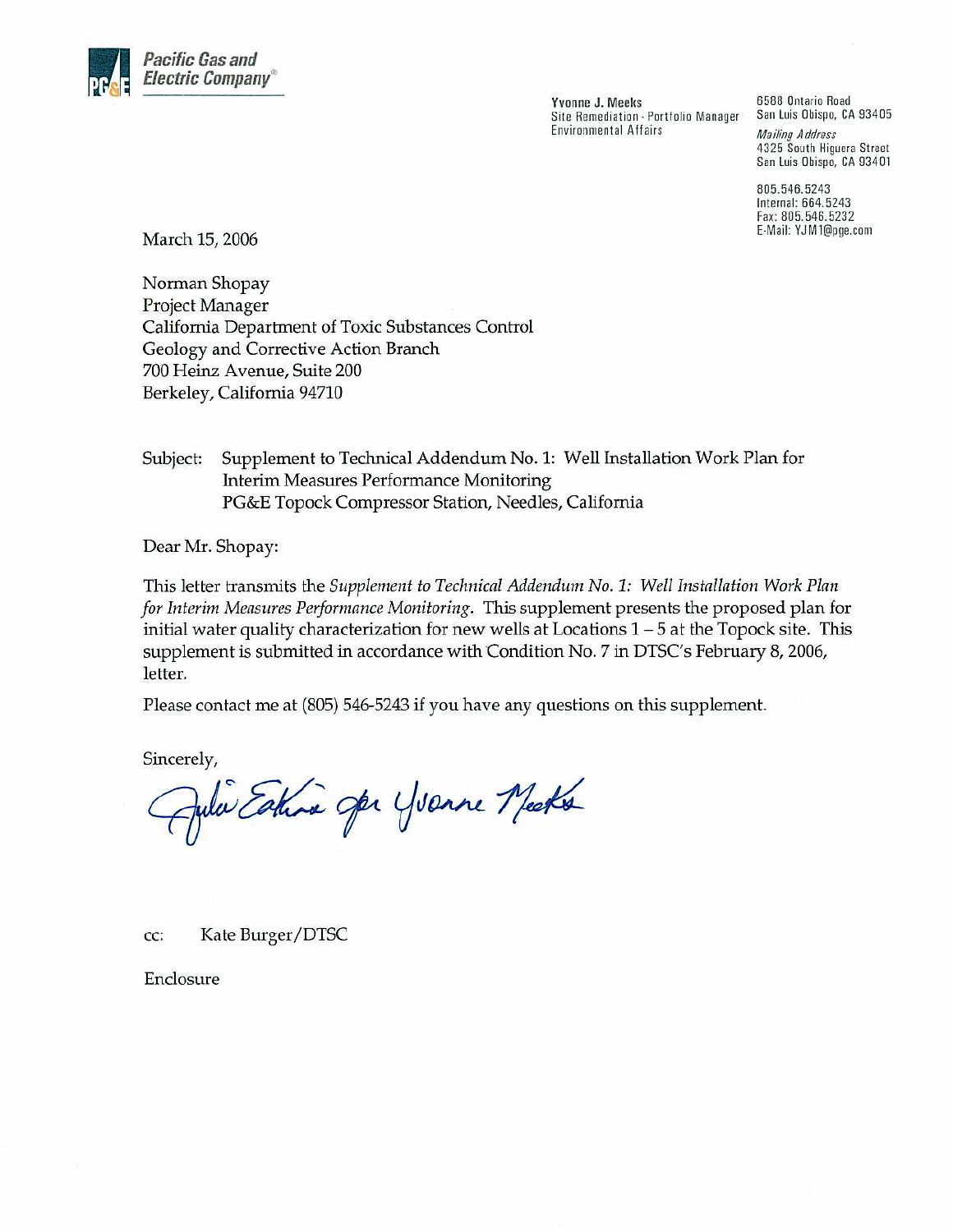

Yvonne J. Meeks Site Remediation - Portfolio Manager **Environmental Affairs** 

6588 Ontario Road San Luis Obispo, CA 93405 **Mailing Address** 4325 South Higuera Street San Luis Obispo, CA 93401

805.546.5243 Internal: 664.5243 Fax: 805.546.5232 E-Mail: YJM1@pge.com

March 15, 2006

Norman Shopay Project Manager California Department of Toxic Substances Control Geology and Corrective Action Branch 700 Heinz Avenue, Suite 200 Berkeley, California 94710

Supplement to Technical Addendum No. 1: Well Installation Work Plan for Subject: **Interim Measures Performance Monitoring** PG&E Topock Compressor Station, Needles, California

Dear Mr. Shopay:

This letter transmits the Supplement to Technical Addendum No. 1: Well Installation Work Plan for Interim Measures Performance Monitoring. This supplement presents the proposed plan for initial water quality characterization for new wells at Locations  $1 - 5$  at the Topock site. This supplement is submitted in accordance with Condition No. 7 in DTSC's February 8, 2006, letter.

Please contact me at (805) 546-5243 if you have any questions on this supplement.

Sincerely,

Jula Estra spr Yvanne Meets

Kate Burger/DTSC cc:

Enclosure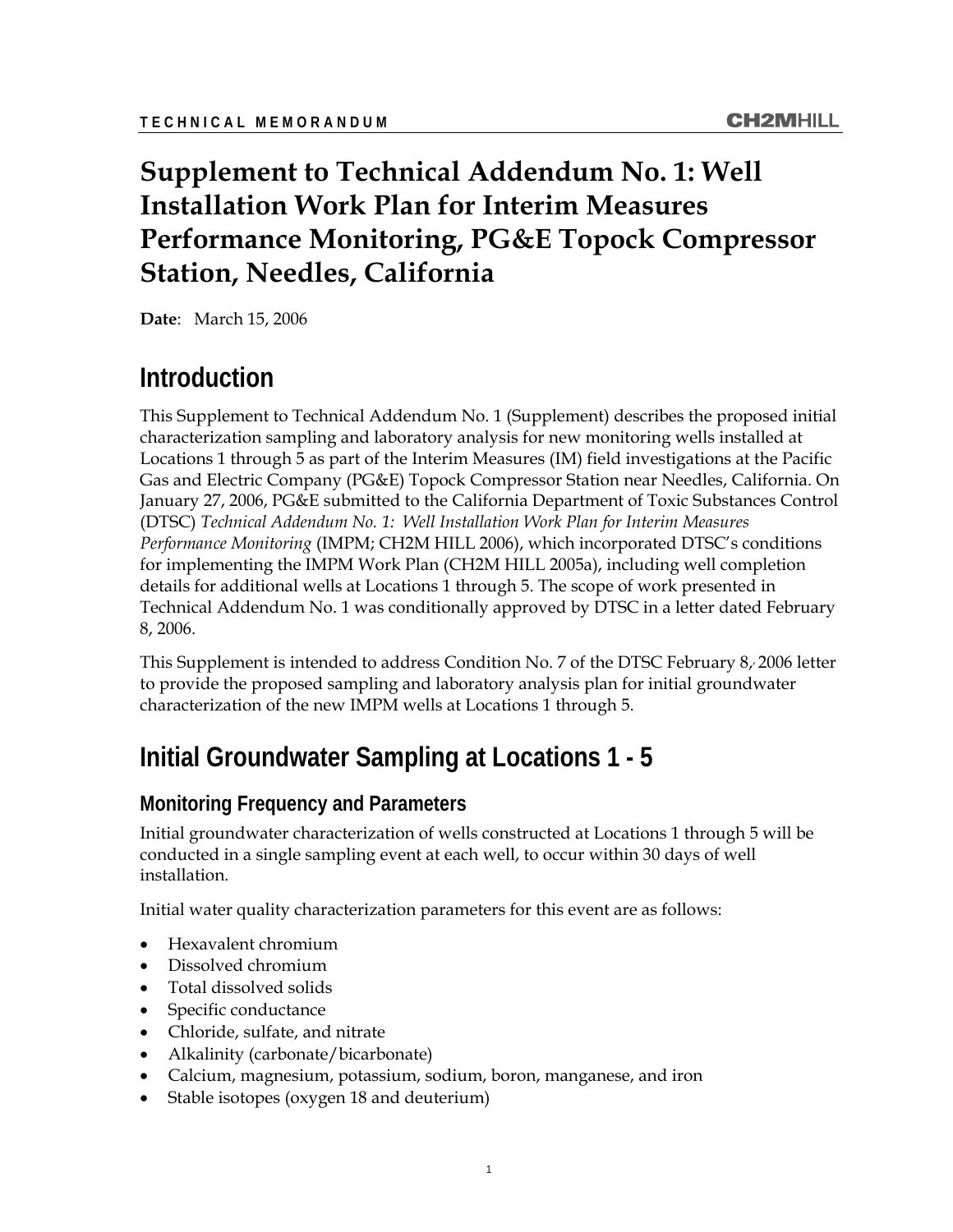# **Supplement to Technical Addendum No. 1: Well Installation Work Plan for Interim Measures Performance Monitoring, PG&E Topock Compressor Station, Needles, California**

**Date**: March 15, 2006

# **Introduction**

This Supplement to Technical Addendum No. 1 (Supplement) describes the proposed initial characterization sampling and laboratory analysis for new monitoring wells installed at Locations 1 through 5 as part of the Interim Measures (IM) field investigations at the Pacific Gas and Electric Company (PG&E) Topock Compressor Station near Needles, California. On January 27, 2006, PG&E submitted to the California Department of Toxic Substances Control (DTSC) *Technical Addendum No. 1: Well Installation Work Plan for Interim Measures Performance Monitoring* (IMPM; CH2M HILL 2006), which incorporated DTSC's conditions for implementing the IMPM Work Plan (CH2M HILL 2005a), including well completion details for additional wells at Locations 1 through 5. The scope of work presented in Technical Addendum No. 1 was conditionally approved by DTSC in a letter dated February 8, 2006.

This Supplement is intended to address Condition No. 7 of the DTSC February  $8/2006$  letter to provide the proposed sampling and laboratory analysis plan for initial groundwater characterization of the new IMPM wells at Locations 1 through 5.

# **Initial Groundwater Sampling at Locations 1 - 5**

#### **Monitoring Frequency and Parameters**

Initial groundwater characterization of wells constructed at Locations 1 through 5 will be conducted in a single sampling event at each well, to occur within 30 days of well installation.

Initial water quality characterization parameters for this event are as follows:

- Hexavalent chromium
- Dissolved chromium
- Total dissolved solids
- Specific conductance
- Chloride, sulfate, and nitrate
- Alkalinity (carbonate/bicarbonate)
- Calcium, magnesium, potassium, sodium, boron, manganese, and iron
- Stable isotopes (oxygen 18 and deuterium)